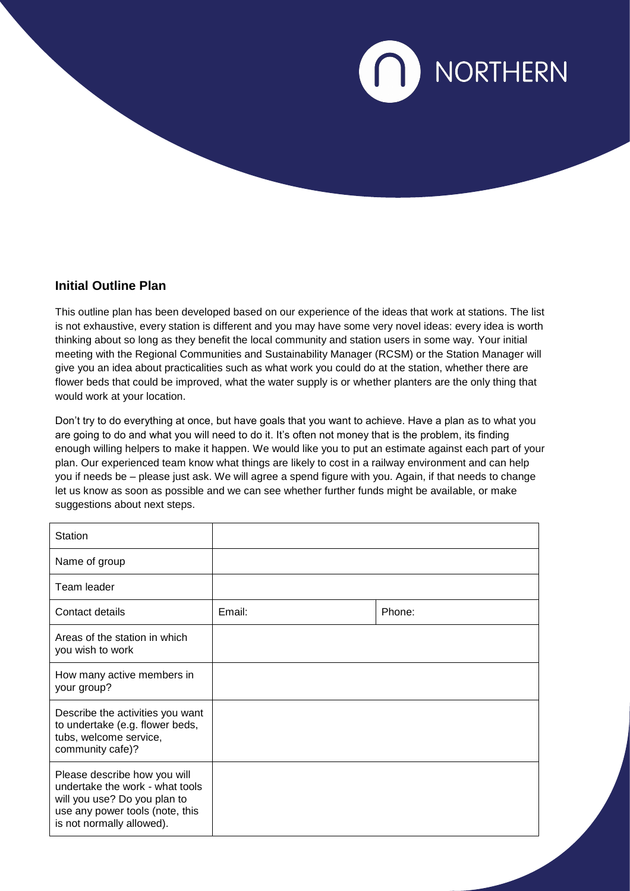

## **Initial Outline Plan**

This outline plan has been developed based on our experience of the ideas that work at stations. The list is not exhaustive, every station is different and you may have some very novel ideas: every idea is worth thinking about so long as they benefit the local community and station users in some way. Your initial meeting with the Regional Communities and Sustainability Manager (RCSM) or the Station Manager will give you an idea about practicalities such as what work you could do at the station, whether there are flower beds that could be improved, what the water supply is or whether planters are the only thing that would work at your location.

Don't try to do everything at once, but have goals that you want to achieve. Have a plan as to what you are going to do and what you will need to do it. It's often not money that is the problem, its finding enough willing helpers to make it happen. We would like you to put an estimate against each part of your plan. Our experienced team know what things are likely to cost in a railway environment and can help you if needs be – please just ask. We will agree a spend figure with you. Again, if that needs to change let us know as soon as possible and we can see whether further funds might be available, or make suggestions about next steps.

| Station                                                                                                                                                         |        |        |
|-----------------------------------------------------------------------------------------------------------------------------------------------------------------|--------|--------|
| Name of group                                                                                                                                                   |        |        |
| Team leader                                                                                                                                                     |        |        |
| Contact details                                                                                                                                                 | Email: | Phone: |
| Areas of the station in which<br>you wish to work                                                                                                               |        |        |
| How many active members in<br>your group?                                                                                                                       |        |        |
| Describe the activities you want<br>to undertake (e.g. flower beds,<br>tubs, welcome service,<br>community cafe)?                                               |        |        |
| Please describe how you will<br>undertake the work - what tools<br>will you use? Do you plan to<br>use any power tools (note, this<br>is not normally allowed). |        |        |